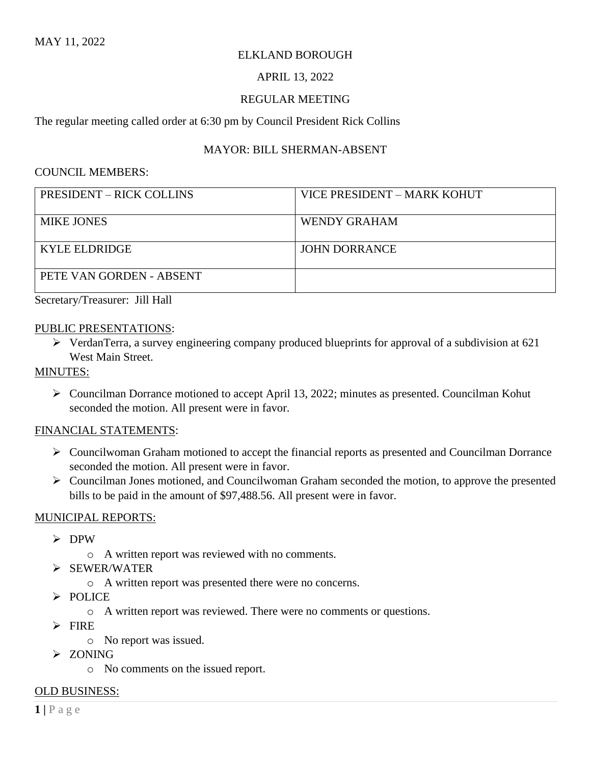### ELKLAND BOROUGH

#### APRIL 13, 2022

#### REGULAR MEETING

The regular meeting called order at 6:30 pm by Council President Rick Collins

### MAYOR: BILL SHERMAN-ABSENT

#### COUNCIL MEMBERS:

| <b>PRESIDENT – RICK COLLINS</b> | VICE PRESIDENT – MARK KOHUT |
|---------------------------------|-----------------------------|
| <b>MIKE JONES</b>               | WENDY GRAHAM                |
| <b>KYLE ELDRIDGE</b>            | <b>JOHN DORRANCE</b>        |
| PETE VAN GORDEN - ABSENT        |                             |

Secretary/Treasurer: Jill Hall

#### PUBLIC PRESENTATIONS:

➢ VerdanTerra, a survey engineering company produced blueprints for approval of a subdivision at 621 West Main Street.

### MINUTES:

➢ Councilman Dorrance motioned to accept April 13, 2022; minutes as presented. Councilman Kohut seconded the motion. All present were in favor.

#### FINANCIAL STATEMENTS:

- ➢ Councilwoman Graham motioned to accept the financial reports as presented and Councilman Dorrance seconded the motion. All present were in favor.
- ➢ Councilman Jones motioned, and Councilwoman Graham seconded the motion, to approve the presented bills to be paid in the amount of \$97,488.56. All present were in favor.

#### MUNICIPAL REPORTS:

- ➢ DPW
	- o A written report was reviewed with no comments.
- ➢ SEWER/WATER
	- o A written report was presented there were no concerns.
- ➢ POLICE
	- o A written report was reviewed. There were no comments or questions.
- ➢ FIRE
	- o No report was issued.
- ➢ ZONING
	- o No comments on the issued report.

#### OLD BUSINESS: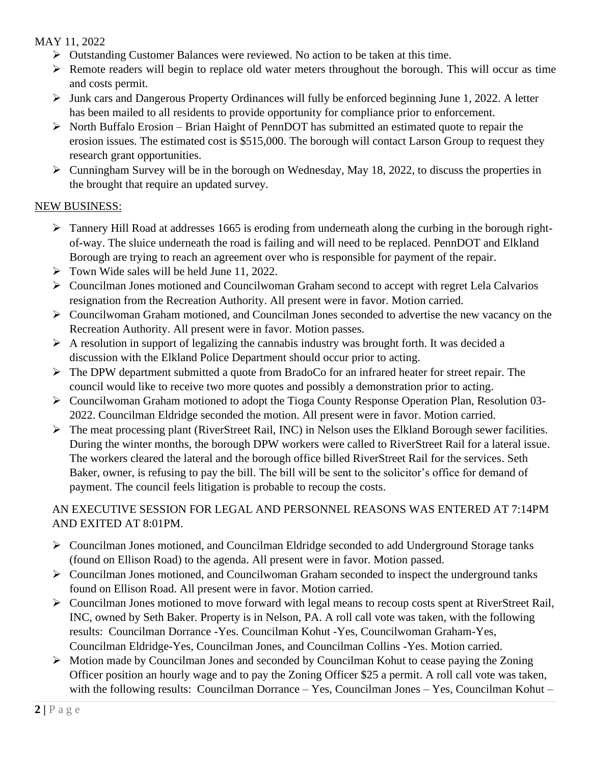## MAY 11, 2022

- ➢ Outstanding Customer Balances were reviewed. No action to be taken at this time.
- ➢ Remote readers will begin to replace old water meters throughout the borough. This will occur as time and costs permit.
- $\triangleright$  Junk cars and Dangerous Property Ordinances will fully be enforced beginning June 1, 2022. A letter has been mailed to all residents to provide opportunity for compliance prior to enforcement.
- ➢ North Buffalo Erosion Brian Haight of PennDOT has submitted an estimated quote to repair the erosion issues. The estimated cost is \$515,000. The borough will contact Larson Group to request they research grant opportunities.
- $\triangleright$  Cunningham Survey will be in the borough on Wednesday, May 18, 2022, to discuss the properties in the brought that require an updated survey.

## NEW BUSINESS:

- $\triangleright$  Tannery Hill Road at addresses 1665 is eroding from underneath along the curbing in the borough rightof-way. The sluice underneath the road is failing and will need to be replaced. PennDOT and Elkland Borough are trying to reach an agreement over who is responsible for payment of the repair.
- $\triangleright$  Town Wide sales will be held June 11, 2022.
- ➢ Councilman Jones motioned and Councilwoman Graham second to accept with regret Lela Calvarios resignation from the Recreation Authority. All present were in favor. Motion carried.
- ➢ Councilwoman Graham motioned, and Councilman Jones seconded to advertise the new vacancy on the Recreation Authority. All present were in favor. Motion passes.
- $\triangleright$  A resolution in support of legalizing the cannabis industry was brought forth. It was decided a discussion with the Elkland Police Department should occur prior to acting.
- ➢ The DPW department submitted a quote from BradoCo for an infrared heater for street repair. The council would like to receive two more quotes and possibly a demonstration prior to acting.
- ➢ Councilwoman Graham motioned to adopt the Tioga County Response Operation Plan, Resolution 03- 2022. Councilman Eldridge seconded the motion. All present were in favor. Motion carried.
- ➢ The meat processing plant (RiverStreet Rail, INC) in Nelson uses the Elkland Borough sewer facilities. During the winter months, the borough DPW workers were called to RiverStreet Rail for a lateral issue. The workers cleared the lateral and the borough office billed RiverStreet Rail for the services. Seth Baker, owner, is refusing to pay the bill. The bill will be sent to the solicitor's office for demand of payment. The council feels litigation is probable to recoup the costs.

## AN EXECUTIVE SESSION FOR LEGAL AND PERSONNEL REASONS WAS ENTERED AT 7:14PM AND EXITED AT 8:01PM.

- ➢ Councilman Jones motioned, and Councilman Eldridge seconded to add Underground Storage tanks (found on Ellison Road) to the agenda. All present were in favor. Motion passed.
- $\triangleright$  Councilman Jones motioned, and Councilwoman Graham seconded to inspect the underground tanks found on Ellison Road. All present were in favor. Motion carried.
- ➢ Councilman Jones motioned to move forward with legal means to recoup costs spent at RiverStreet Rail, INC, owned by Seth Baker. Property is in Nelson, PA. A roll call vote was taken, with the following results: Councilman Dorrance -Yes. Councilman Kohut -Yes, Councilwoman Graham-Yes, Councilman Eldridge-Yes, Councilman Jones, and Councilman Collins -Yes. Motion carried.
- $\triangleright$  Motion made by Councilman Jones and seconded by Councilman Kohut to cease paying the Zoning Officer position an hourly wage and to pay the Zoning Officer \$25 a permit. A roll call vote was taken, with the following results: Councilman Dorrance – Yes, Councilman Jones – Yes, Councilman Kohut –